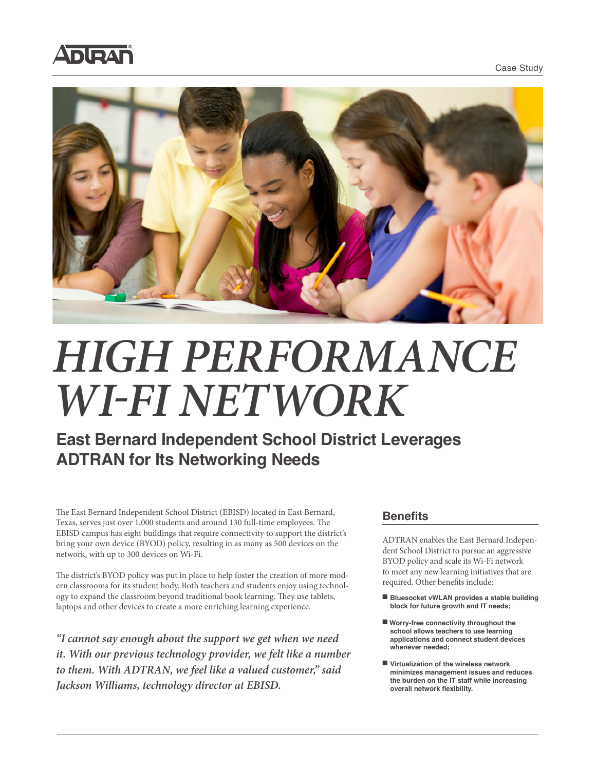Case Study





# *HIGH PERFORMANCE WI-FI NETWORK*

## **East Bernard Independent School District Leverages ADTRAN for Its Networking Needs**

The East Bernard Independent School District (EBISD) located in East Bernard, Texas, serves just over 1,000 students and around 130 full-time employees. The EBISD campus has eight buildings that require connectivity to support the district's bring your own device (BYOD) policy, resulting in as many as 500 devices on the network, with up to 300 devices on Wi-Fi.

The district's BYOD policy was put in place to help foster the creation of more modern classrooms for its student body. Both teachers and students enjoy using technology to expand the classroom beyond traditional book learning. They use tablets, laptops and other devices to create a more enriching learning experience.

*"I cannot say enough about the support we get when we need it. With our previous technology provider, we felt like a number to them. With ADTRAN, we feel like a valued customer," said Jackson Williams, technology director at EBISD.*

#### **Benefits**

ADTRAN enables the East Bernard Independent School District to pursue an aggressive BYOD policy and scale its Wi-Fi network to meet any new learning initiatives that are required. Other benefits include:

- Bluesocket vWLAN provides a stable building **block for future growth and IT needs;**
- Worry-free connectivity throughout the **school allows teachers to use learning applications and connect student devices whenever needed;**
- Virtualization of the wireless network **minimizes management issues and reduces the burden on the IT staff while increasing overall network flexibility.**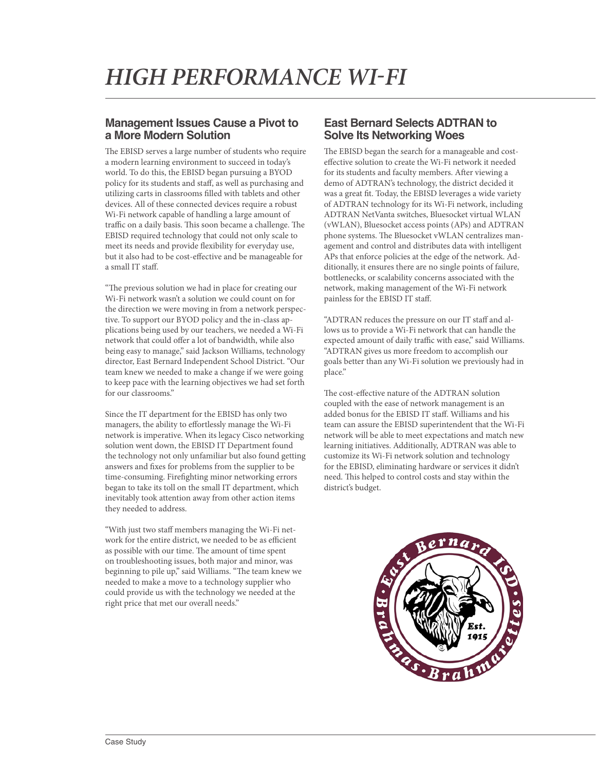#### **Management Issues Cause a Pivot to a More Modern Solution**

The EBISD serves a large number of students who require a modern learning environment to succeed in today's world. To do this, the EBISD began pursuing a BYOD policy for its students and staff, as well as purchasing and utilizing carts in classrooms filled with tablets and other devices. All of these connected devices require a robust Wi-Fi network capable of handling a large amount of traffic on a daily basis. This soon became a challenge. The EBISD required technology that could not only scale to meet its needs and provide flexibility for everyday use, but it also had to be cost-effective and be manageable for a small IT staff.

"The previous solution we had in place for creating our Wi-Fi network wasn't a solution we could count on for the direction we were moving in from a network perspective. To support our BYOD policy and the in-class applications being used by our teachers, we needed a Wi-Fi network that could offer a lot of bandwidth, while also being easy to manage," said Jackson Williams, technology director, East Bernard Independent School District. "Our team knew we needed to make a change if we were going to keep pace with the learning objectives we had set forth for our classrooms."

Since the IT department for the EBISD has only two managers, the ability to effortlessly manage the Wi-Fi network is imperative. When its legacy Cisco networking solution went down, the EBISD IT Department found the technology not only unfamiliar but also found getting answers and fixes for problems from the supplier to be time-consuming. Firefighting minor networking errors began to take its toll on the small IT department, which inevitably took attention away from other action items they needed to address.

"With just two staff members managing the Wi-Fi network for the entire district, we needed to be as efficient as possible with our time. The amount of time spent on troubleshooting issues, both major and minor, was beginning to pile up," said Williams. "The team knew we needed to make a move to a technology supplier who could provide us with the technology we needed at the right price that met our overall needs."

### **East Bernard Selects ADTRAN to Solve Its Networking Woes**

The EBISD began the search for a manageable and costeffective solution to create the Wi-Fi network it needed for its students and faculty members. After viewing a demo of ADTRAN's technology, the district decided it was a great fit. Today, the EBISD leverages a wide variety of ADTRAN technology for its Wi-Fi network, including ADTRAN NetVanta switches, Bluesocket virtual WLAN (vWLAN), Bluesocket access points (APs) and ADTRAN phone systems. The Bluesocket vWLAN centralizes management and control and distributes data with intelligent APs that enforce policies at the edge of the network. Additionally, it ensures there are no single points of failure, bottlenecks, or scalability concerns associated with the network, making management of the Wi-Fi network painless for the EBISD IT staff.

"ADTRAN reduces the pressure on our IT staff and allows us to provide a Wi-Fi network that can handle the expected amount of daily traffic with ease," said Williams. "ADTRAN gives us more freedom to accomplish our goals better than any Wi-Fi solution we previously had in place."

The cost-effective nature of the ADTRAN solution coupled with the ease of network management is an added bonus for the EBISD IT staff. Williams and his team can assure the EBISD superintendent that the Wi-Fi network will be able to meet expectations and match new learning initiatives. Additionally, ADTRAN was able to customize its Wi-Fi network solution and technology for the EBISD, eliminating hardware or services it didn't need. This helped to control costs and stay within the district's budget.

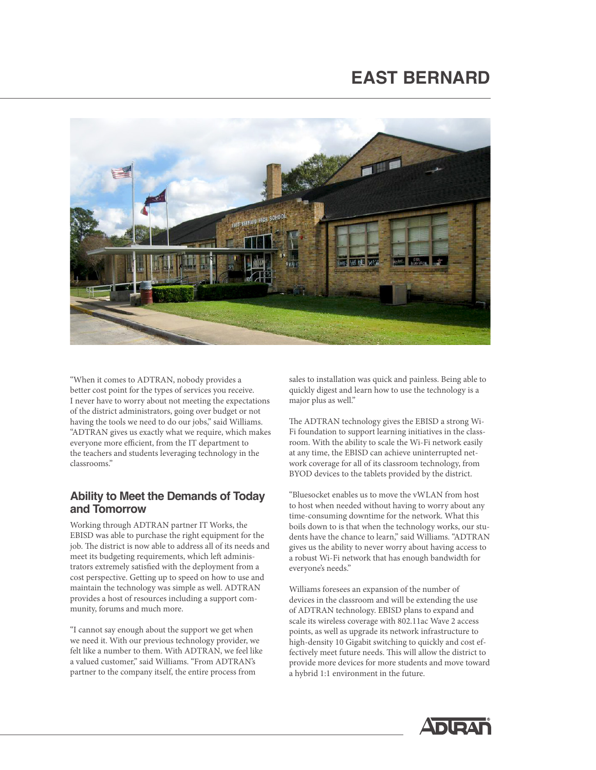# **EAST BERNARD**



"When it comes to ADTRAN, nobody provides a better cost point for the types of services you receive. I never have to worry about not meeting the expectations of the district administrators, going over budget or not having the tools we need to do our jobs," said Williams. "ADTRAN gives us exactly what we require, which makes everyone more efficient, from the IT department to the teachers and students leveraging technology in the classrooms."

#### **Ability to Meet the Demands of Today and Tomorrow**

Working through ADTRAN partner IT Works, the EBISD was able to purchase the right equipment for the job. The district is now able to address all of its needs and meet its budgeting requirements, which left administrators extremely satisfied with the deployment from a cost perspective. Getting up to speed on how to use and maintain the technology was simple as well. ADTRAN provides a host of resources including a support community, forums and much more.

"I cannot say enough about the support we get when we need it. With our previous technology provider, we felt like a number to them. With ADTRAN, we feel like a valued customer," said Williams. "From ADTRAN's partner to the company itself, the entire process from

sales to installation was quick and painless. Being able to quickly digest and learn how to use the technology is a major plus as well."

The ADTRAN technology gives the EBISD a strong Wi-Fi foundation to support learning initiatives in the classroom. With the ability to scale the Wi-Fi network easily at any time, the EBISD can achieve uninterrupted network coverage for all of its classroom technology, from BYOD devices to the tablets provided by the district.

"Bluesocket enables us to move the vWLAN from host to host when needed without having to worry about any time-consuming downtime for the network. What this boils down to is that when the technology works, our students have the chance to learn," said Williams. "ADTRAN gives us the ability to never worry about having access to a robust Wi-Fi network that has enough bandwidth for everyone's needs."

Williams foresees an expansion of the number of devices in the classroom and will be extending the use of ADTRAN technology. EBISD plans to expand and scale its wireless coverage with 802.11ac Wave 2 access points, as well as upgrade its network infrastructure to high-density 10 Gigabit switching to quickly and cost effectively meet future needs. This will allow the district to provide more devices for more students and move toward a hybrid 1:1 environment in the future.